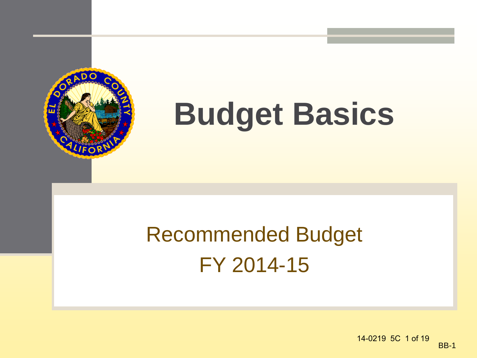

# **Budget Basics**

### Recommended Budget FY 2014-15

BB-1 14-0219 5C 1 of 19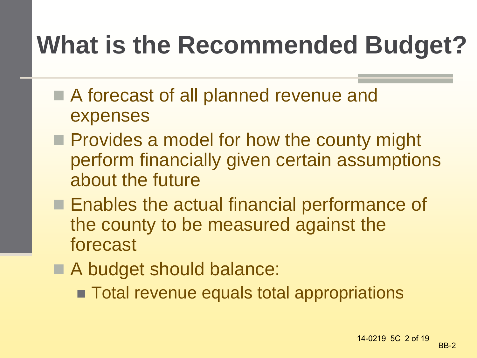### **What is the Recommended Budget?**

- A forecast of all planned revenue and expenses
- **Provides a model for how the county might** perform financially given certain assumptions about the future
- **Enables the actual financial performance of** the county to be measured against the forecast
- A budget should balance:
	- **Total revenue equals total appropriations**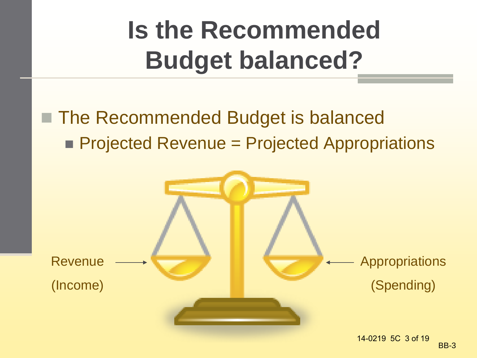## **Is the Recommended Budget balanced?**

### ■ The Recommended Budget is balanced **Projected Revenue = Projected Appropriations**

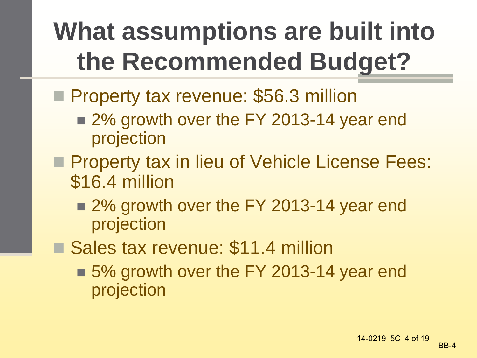## **What assumptions are built into the Recommended Budget?**

- **Property tax revenue: \$56.3 million** 
	- 2% growth over the FY 2013-14 year end projection
- **Property tax in lieu of Vehicle License Fees:** \$16.4 million
	- 2% growth over the FY 2013-14 year end projection
- Sales tax revenue: \$11.4 million
	- 5% growth over the FY 2013-14 year end projection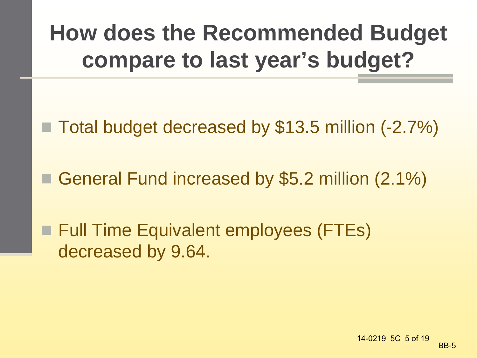### **How does the Recommended Budget compare to last year's budget?**

- Total budget decreased by \$13.5 million (-2.7%)
- General Fund increased by \$5.2 million (2.1%)

**Full Time Equivalent employees (FTEs)** decreased by 9.64.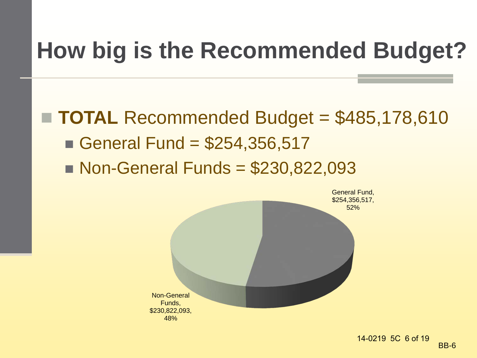### **How big is the Recommended Budget?**

 **TOTAL** Recommended Budget = \$485,178,610 General Fund =  $$254,356,517$  $\blacksquare$  Non-General Funds = \$230,822,093

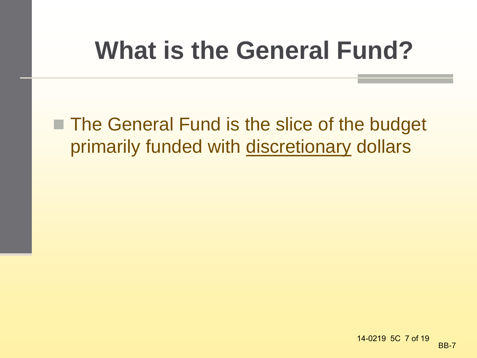### **What is the General Fund?**

■ The General Fund is the slice of the budget primarily funded with discretionary dollars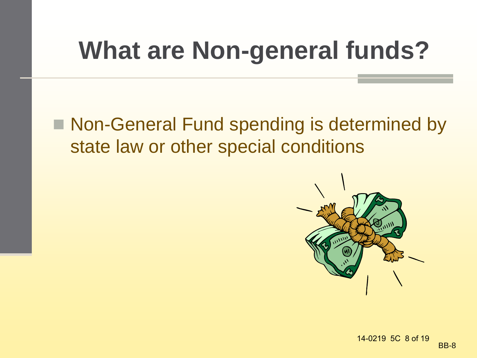## **What are Non-general funds?**

■ Non-General Fund spending is determined by state law or other special conditions

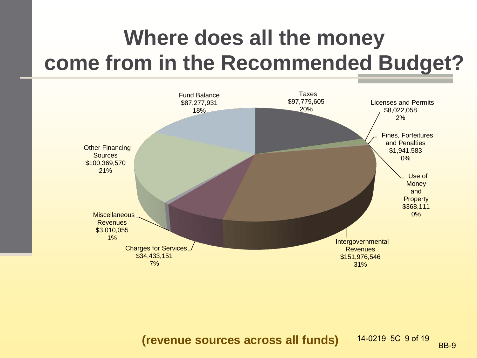### **Where does all the money come from in the Recommended Budget?**



**(revenue sources across all funds)** 14-0219 5C 9 of 19 BB-9 14-0219 5C 9 of 19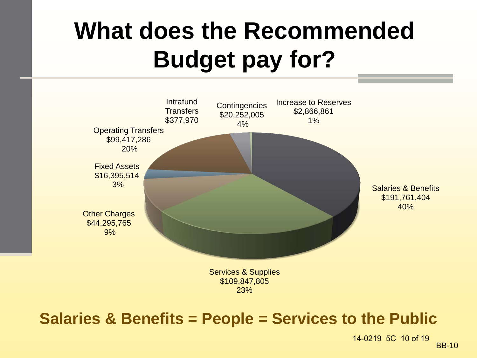### **What does the Recommended Budget pay for?**



#### **Salaries & Benefits = People = Services to the Public**

BB-10 14-0219 5C 10 of 19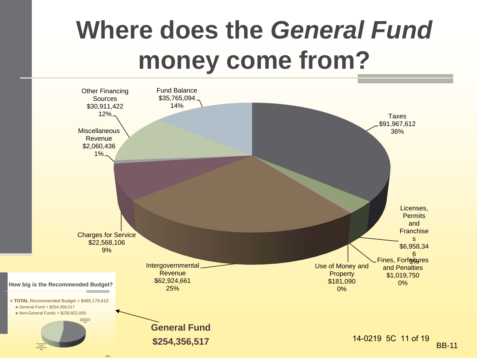### **Where does the** *General Fund* **money come from?**



BB-6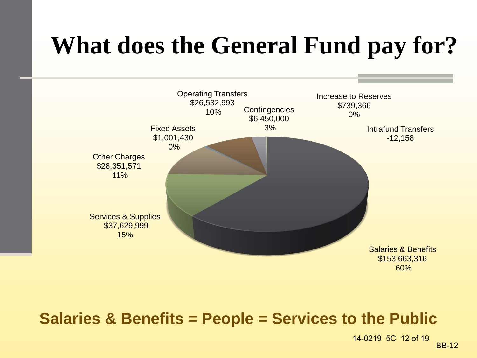### **What does the General Fund pay for?**



#### **Salaries & Benefits = People = Services to the Public**

BB-12 14-0219 5C 12 of 19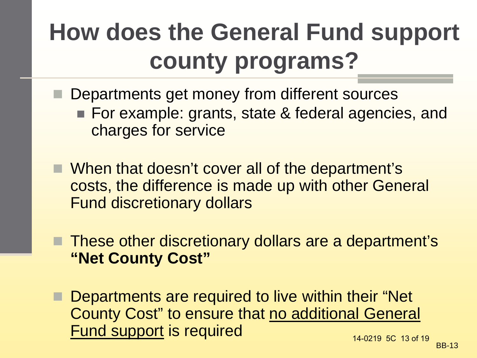### **How does the General Fund support county programs?**

- **Departments get money from different sources** ■ For example: grants, state & federal agencies, and
	- charges for service
- When that doesn't cover all of the department's costs, the difference is made up with other General Fund discretionary dollars
- These other discretionary dollars are a department's **"Net County Cost"**
- Departments are required to live within their "Net County Cost" to ensure that no additional General Fund support is required 14-0219 5C 13 of 19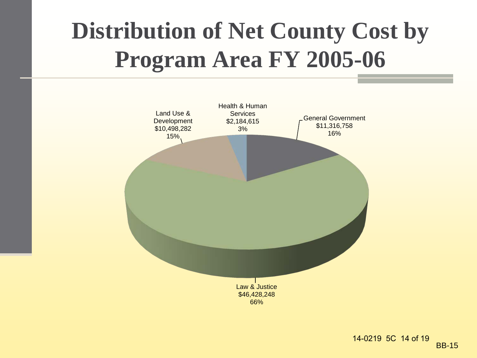### **Distribution of Net County Cost by Program Area FY 2005-06**

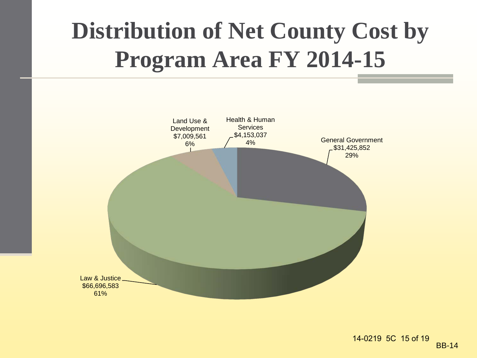### **Distribution of Net County Cost by Program Area FY 2014-15**

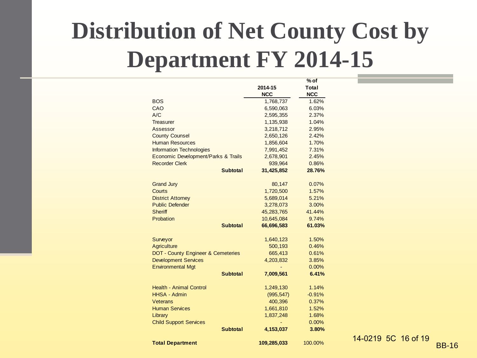### **Distribution of Net County Cost by Department FY 2014-15**

|                                                                              |             | % of           |           |
|------------------------------------------------------------------------------|-------------|----------------|-----------|
|                                                                              | 2014-15     | Total          |           |
|                                                                              | <b>NCC</b>  | <b>NCC</b>     |           |
| <b>BOS</b>                                                                   | 1,768,737   | 1.62%          |           |
| CAO                                                                          | 6,590,063   | 6.03%          |           |
| A/C                                                                          | 2,595,355   | 2.37%          |           |
| Treasurer                                                                    | 1,135,938   | 1.04%          |           |
| Assessor                                                                     | 3,218,712   | 2.95%          |           |
| <b>County Counsel</b>                                                        | 2,650,126   | 2.42%          |           |
| <b>Human Resources</b>                                                       | 1,856,604   | 1.70%          |           |
| <b>Information Technologies</b>                                              | 7,991,452   | 7.31%          |           |
| Economic Development/Parks & Trails                                          | 2,678,901   | 2.45%          |           |
| <b>Recorder Clerk</b>                                                        | 939,964     | 0.86%          |           |
| <b>Subtotal</b>                                                              | 31,425,852  | 28.76%         |           |
| <b>Grand Jury</b>                                                            | 80,147      | 0.07%          |           |
| Courts                                                                       | 1,720,500   | 1.57%          |           |
| <b>District Attorney</b>                                                     | 5,689,014   | 5.21%          |           |
| <b>Public Defender</b>                                                       | 3,278,073   | 3.00%          |           |
| <b>Sheriff</b>                                                               | 45,283,765  | 41.44%         |           |
| Probation                                                                    | 10,645,084  | 9.74%          |           |
| <b>Subtotal</b>                                                              | 66,696,583  | 61.03%         |           |
|                                                                              |             |                |           |
| Surveyor                                                                     | 1,640,123   | 1.50%          |           |
| Agriculture                                                                  | 500,193     | 0.46%          |           |
| <b>DOT - County Engineer &amp; Cemeteries</b><br><b>Development Services</b> | 665,413     | 0.61%          |           |
| <b>Environmental Mgt</b>                                                     | 4,203,832   | 3.85%          |           |
| <b>Subtotal</b>                                                              | 7,009,561   | 0.00%<br>6.41% |           |
|                                                                              |             |                |           |
| <b>Health - Animal Control</b>                                               | 1,249,130   | 1.14%          |           |
| <b>HHSA - Admin</b>                                                          | (995, 547)  | $-0.91%$       |           |
| <b>Veterans</b>                                                              | 400,396     | 0.37%          |           |
| <b>Human Services</b>                                                        | 1,661,810   | 1.52%          |           |
| Library                                                                      | 1,837,248   | 1.68%          |           |
| <b>Child Support Services</b>                                                |             | 0.00%          |           |
| <b>Subtotal</b>                                                              | 4,153,037   | 3.80%          |           |
|                                                                              |             |                | 14-0219 5 |
| <b>Total Department</b>                                                      | 109,285,033 | 100.00%        |           |

BB-16 5C 16 of 19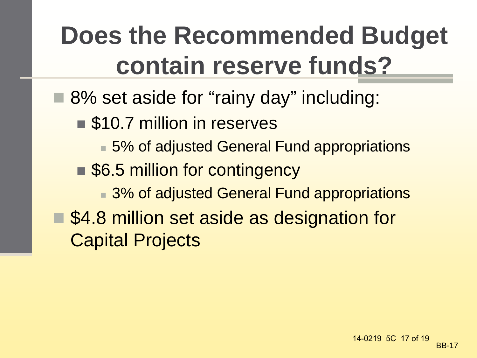## **Does the Recommended Budget contain reserve funds?**

- 8% set aside for "rainy day" including:
	- \$10.7 million in reserves
		- 5% of adjusted General Fund appropriations
	- \$6.5 million for contingency
		- 3% of adjusted General Fund appropriations
- \$4.8 million set aside as designation for Capital Projects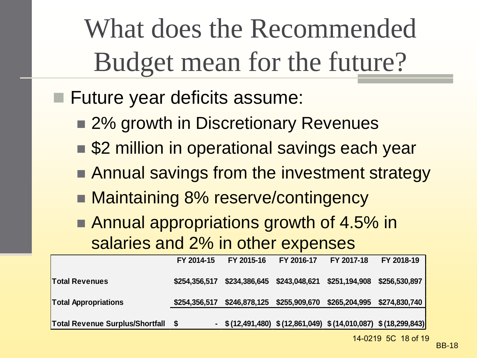What does the Recommended Budget mean for the future?

- **Future year deficits assume:** 
	- 2% growth in Discretionary Revenues
	- \$2 million in operational savings each year
	- **Annual savings from the investment strategy**
	- Maintaining 8% reserve/contingency
	- Annual appropriations growth of 4.5% in salaries and 2% in other expenses

|                                 | FY 2014-15    | FY 2015-16                                                      | FY 2016-17                                | FY 2017-18    | FY 2018-19    |
|---------------------------------|---------------|-----------------------------------------------------------------|-------------------------------------------|---------------|---------------|
| <b>Total Revenues</b>           | \$254,356,517 |                                                                 | \$234,386,645 \$243,048,621 \$251,194,908 |               | \$256,530,897 |
| <b>Total Appropriations</b>     | \$254,356,517 |                                                                 | \$246,878,125 \$255,909,670               | \$265,204,995 | \$274,830,740 |
| Total Revenue Surplus/Shortfall |               | $-$ \$(12,491,480) \$(12,861,049) \$(14,010,087) \$(18,299,843) |                                           |               |               |

14-0219 5C 18 of 19